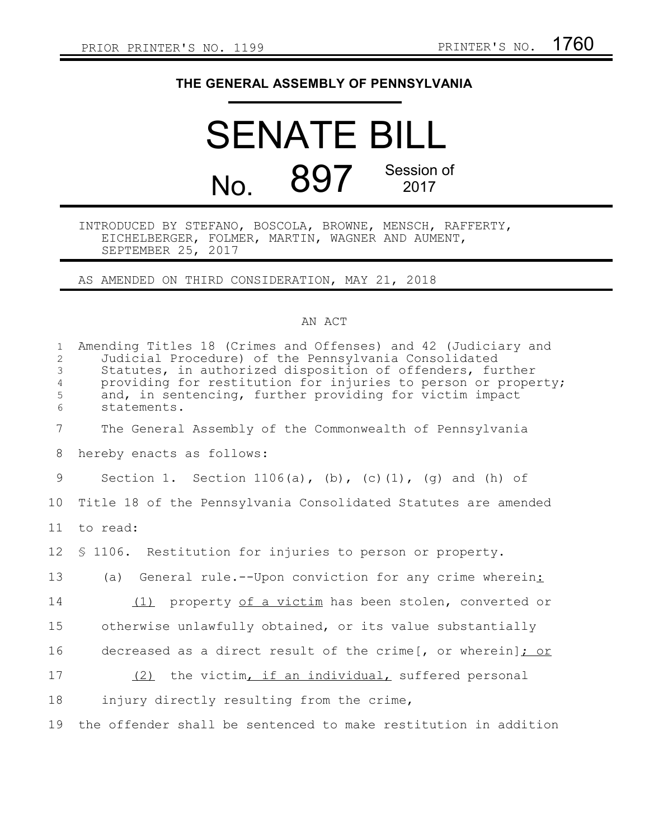## **THE GENERAL ASSEMBLY OF PENNSYLVANIA**

## SENATE BILL No. 897 Session of 2017

INTRODUCED BY STEFANO, BOSCOLA, BROWNE, MENSCH, RAFFERTY, EICHELBERGER, FOLMER, MARTIN, WAGNER AND AUMENT, SEPTEMBER 25, 2017

AS AMENDED ON THIRD CONSIDERATION, MAY 21, 2018

## AN ACT

| $\mathbf{1}$<br>$\overline{2}$<br>3<br>$\overline{4}$<br>5<br>6 | Amending Titles 18 (Crimes and Offenses) and 42 (Judiciary and<br>Judicial Procedure) of the Pennsylvania Consolidated<br>Statutes, in authorized disposition of offenders, further<br>providing for restitution for injuries to person or property;<br>and, in sentencing, further providing for victim impact<br>statements. |
|-----------------------------------------------------------------|--------------------------------------------------------------------------------------------------------------------------------------------------------------------------------------------------------------------------------------------------------------------------------------------------------------------------------|
| $7\overline{ }$                                                 | The General Assembly of the Commonwealth of Pennsylvania                                                                                                                                                                                                                                                                       |
| 8                                                               | hereby enacts as follows:                                                                                                                                                                                                                                                                                                      |
| 9                                                               | Section 1. Section 1106(a), (b), (c)(1), (g) and (h) of                                                                                                                                                                                                                                                                        |
| 10                                                              | Title 18 of the Pennsylvania Consolidated Statutes are amended                                                                                                                                                                                                                                                                 |
| 11                                                              | to read:                                                                                                                                                                                                                                                                                                                       |
| 12                                                              | \$ 1106. Restitution for injuries to person or property.                                                                                                                                                                                                                                                                       |
| 13                                                              | (a) General rule.--Upon conviction for any crime wherein:                                                                                                                                                                                                                                                                      |
| 14                                                              | (1) property of a victim has been stolen, converted or                                                                                                                                                                                                                                                                         |
| 15                                                              | otherwise unlawfully obtained, or its value substantially                                                                                                                                                                                                                                                                      |
| 16                                                              | decreased as a direct result of the crime[, or wherein]; or                                                                                                                                                                                                                                                                    |
| 17                                                              | (2) the victim, if an individual, suffered personal                                                                                                                                                                                                                                                                            |
| 18                                                              | injury directly resulting from the crime,                                                                                                                                                                                                                                                                                      |
| 19                                                              | the offender shall be sentenced to make restitution in addition                                                                                                                                                                                                                                                                |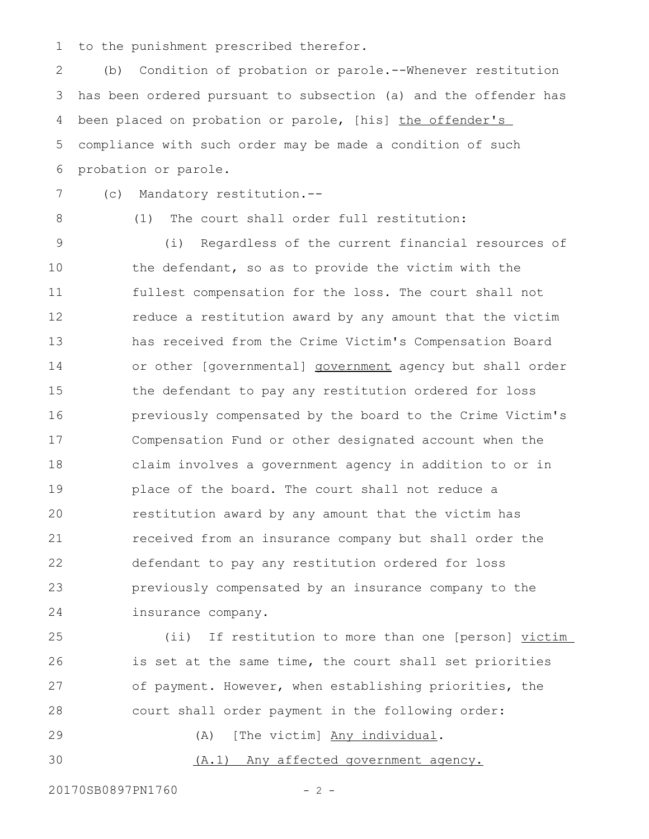to the punishment prescribed therefor. 1

(b) Condition of probation or parole.--Whenever restitution has been ordered pursuant to subsection (a) and the offender has been placed on probation or parole, [his] the offender's compliance with such order may be made a condition of such probation or parole. 2 3 4 5 6

7

(c) Mandatory restitution.--

8

(1) The court shall order full restitution:

(i) Regardless of the current financial resources of the defendant, so as to provide the victim with the fullest compensation for the loss. The court shall not reduce a restitution award by any amount that the victim has received from the Crime Victim's Compensation Board or other [governmental] government agency but shall order the defendant to pay any restitution ordered for loss previously compensated by the board to the Crime Victim's Compensation Fund or other designated account when the claim involves a government agency in addition to or in place of the board. The court shall not reduce a restitution award by any amount that the victim has received from an insurance company but shall order the defendant to pay any restitution ordered for loss previously compensated by an insurance company to the insurance company. 9 10 11 12 13 14 15 16 17 18 19 20 21 22 23 24

(ii) If restitution to more than one [person] victim is set at the same time, the court shall set priorities of payment. However, when establishing priorities, the court shall order payment in the following order: 25 26 27 28

(A) [The victim] Any individual. 29

(A.1) Any affected government agency. 30

20170SB0897PN1760 - 2 -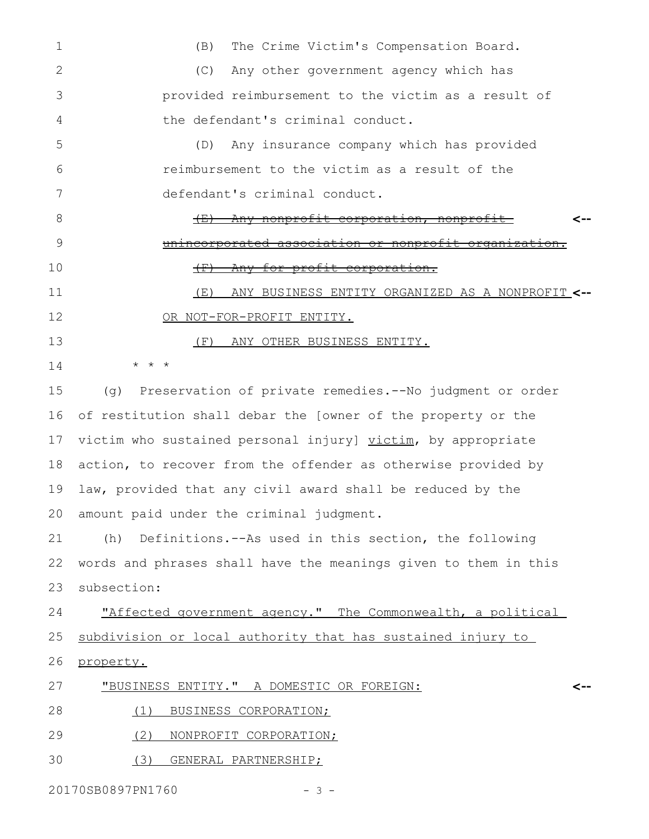| 1  | The Crime Victim's Compensation Board.<br>(B)                    |
|----|------------------------------------------------------------------|
| 2  | Any other government agency which has<br>(C)                     |
| 3  | provided reimbursement to the victim as a result of              |
| 4  | the defendant's criminal conduct.                                |
| 5  | Any insurance company which has provided<br>(D)                  |
| 6  | reimbursement to the victim as a result of the                   |
| 7  | defendant's criminal conduct.                                    |
| 8  | <u>Any nonprofit corporation, nonprofit-</u><br>$+\pm$           |
| 9  | unincorporated association or nonprofit organization.            |
| 10 | Any for-profit corporation.<br>$\leftarrow$                      |
| 11 | ANY BUSINESS ENTITY ORGANIZED AS A NONPROFIT <--<br>(E)          |
| 12 | OR NOT-FOR-PROFIT ENTITY.                                        |
| 13 | (F)<br>ANY OTHER BUSINESS ENTITY.                                |
| 14 | $\star$<br>$\star$                                               |
| 15 | Preservation of private remedies. -- No judgment or order<br>(q) |
| 16 | of restitution shall debar the [owner of the property or the     |
| 17 | victim who sustained personal injury] victim, by appropriate     |
| 18 | action, to recover from the offender as otherwise provided by    |
| 19 | law, provided that any civil award shall be reduced by the       |
| 20 | amount paid under the criminal judgment.                         |
| 21 | Definitions.--As used in this section, the following<br>(h)      |
| 22 | words and phrases shall have the meanings given to them in this  |
| 23 | subsection:                                                      |
| 24 | "Affected government agency." The Commonwealth, a political      |
| 25 | subdivision or local authority that has sustained injury to      |
| 26 | property.                                                        |
| 27 | "BUSINESS ENTITY." A DOMESTIC OR FOREIGN:<br><--                 |
| 28 | BUSINESS CORPORATION;<br>(1)                                     |

- (2) NONPROFIT CORPORATION; 29
- (3) GENERAL PARTNERSHIP; 30

20170SB0897PN1760 - 3 -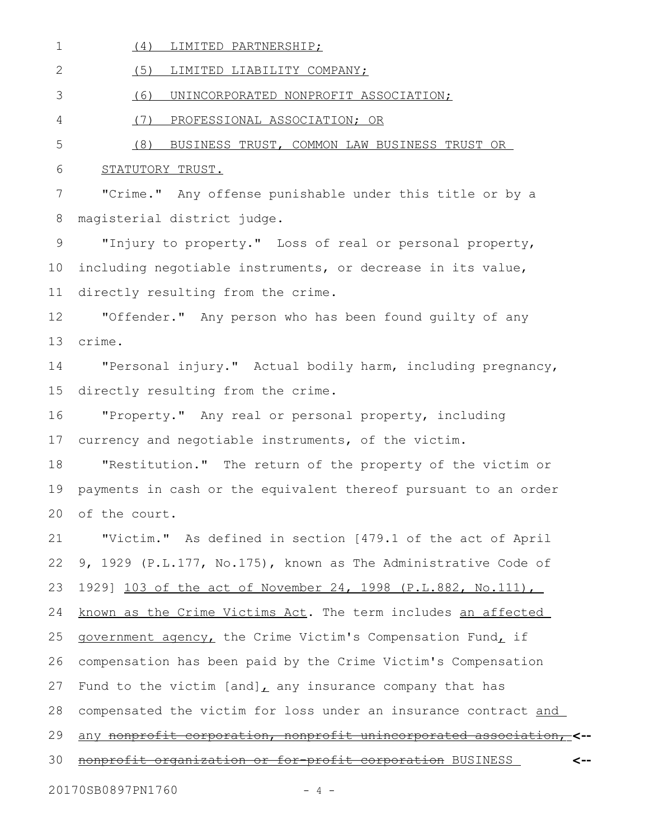(4) LIMITED PARTNERSHIP; 1

(5) LIMITED LIABILITY COMPANY; 2

(6) UNINCORPORATED NONPROFIT ASSOCIATION; 3

(7) PROFESSIONAL ASSOCIATION; OR 4

5

(8) BUSINESS TRUST, COMMON LAW BUSINESS TRUST OR

## STATUTORY TRUST. 6

"Crime." Any offense punishable under this title or by a magisterial district judge. 7 8

"Injury to property." Loss of real or personal property, including negotiable instruments, or decrease in its value, directly resulting from the crime. 9 10 11

"Offender." Any person who has been found guilty of any crime. 12 13

"Personal injury." Actual bodily harm, including pregnancy, directly resulting from the crime. 14 15

"Property." Any real or personal property, including currency and negotiable instruments, of the victim. 16 17

"Restitution." The return of the property of the victim or payments in cash or the equivalent thereof pursuant to an order of the court. 18 19 20

"Victim." As defined in section [479.1 of the act of April 9, 1929 (P.L.177, No.175), known as The Administrative Code of 1929] 103 of the act of November 24, 1998 (P.L.882, No.111), known as the Crime Victims Act. The term includes an affected government agency, the Crime Victim's Compensation Fund, if compensation has been paid by the Crime Victim's Compensation Fund to the victim [and], any insurance company that has compensated the victim for loss under an insurance contract and any nonprofit corporation, nonprofit unincorporated association, **<-** nonprofit organization or for-profit corporation BUSINESS **<--** 21 22 23 24 25 26 27 28 29 30

20170SB0897PN1760 - 4 -